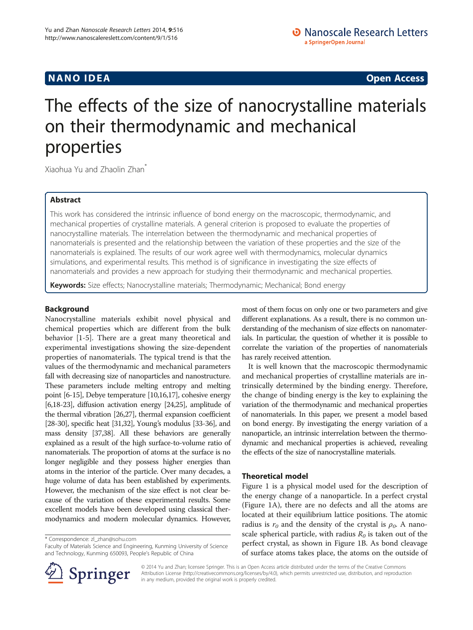# The effects of the size of nanocrystalline materials on their thermodynamic and mechanical properties

Xiaohua Yu and Zhaolin Zhan\*

## Abstract

This work has considered the intrinsic influence of bond energy on the macroscopic, thermodynamic, and mechanical properties of crystalline materials. A general criterion is proposed to evaluate the properties of nanocrystalline materials. The interrelation between the thermodynamic and mechanical properties of nanomaterials is presented and the relationship between the variation of these properties and the size of the nanomaterials is explained. The results of our work agree well with thermodynamics, molecular dynamics simulations, and experimental results. This method is of significance in investigating the size effects of nanomaterials and provides a new approach for studying their thermodynamic and mechanical properties.

Keywords: Size effects; Nanocrystalline materials; Thermodynamic; Mechanical; Bond energy

## Background

Nanocrystalline materials exhibit novel physical and chemical properties which are different from the bulk behavior [\[1](#page-4-0)-[5\]](#page-4-0). There are a great many theoretical and experimental investigations showing the size-dependent properties of nanomaterials. The typical trend is that the values of the thermodynamic and mechanical parameters fall with decreasing size of nanoparticles and nanostructure. These parameters include melting entropy and melting point [\[6-15](#page-4-0)], Debye temperature [\[10,16,17](#page-4-0)], cohesive energy [[6,18-23\]](#page-4-0), diffusion activation energy [[24,25\]](#page-4-0), amplitude of the thermal vibration [\[26,27\]](#page-4-0), thermal expansion coefficient [[28](#page-4-0)-[30\]](#page-4-0), specific heat [[31,32\]](#page-4-0), Young's modulus [[33](#page-4-0)-[36](#page-4-0)], and mass density [\[37,38\]](#page-4-0). All these behaviors are generally explained as a result of the high surface-to-volume ratio of nanomaterials. The proportion of atoms at the surface is no longer negligible and they possess higher energies than atoms in the interior of the particle. Over many decades, a huge volume of data has been established by experiments. However, the mechanism of the size effect is not clear because of the variation of these experimental results. Some excellent models have been developed using classical thermodynamics and modern molecular dynamics. However,

\* Correspondence: [zl\\_zhan@sohu.com](mailto:zl_zhan@sohu.com)

Faculty of Materials Science and Engineering, Kunming University of Science and Technology, Kunming 650093, People's Republic of China

most of them focus on only one or two parameters and give different explanations. As a result, there is no common understanding of the mechanism of size effects on nanomaterials. In particular, the question of whether it is possible to correlate the variation of the properties of nanomaterials has rarely received attention.

It is well known that the macroscopic thermodynamic and mechanical properties of crystalline materials are intrinsically determined by the binding energy. Therefore, the change of binding energy is the key to explaining the variation of the thermodynamic and mechanical properties of nanomaterials. In this paper, we present a model based on bond energy. By investigating the energy variation of a nanoparticle, an intrinsic interrelation between the thermodynamic and mechanical properties is achieved, revealing the effects of the size of nanocrystalline materials.

## Theoretical model

Figure [1](#page-1-0) is a physical model used for the description of the energy change of a nanoparticle. In a perfect crystal (Figure [1A](#page-1-0)), there are no defects and all the atoms are located at their equilibrium lattice positions. The atomic radius is  $r_0$  and the density of the crystal is  $\rho_0$ . A nanoscale spherical particle, with radius  $R_0$  is taken out of the perfect crystal, as shown in Figure [1](#page-1-0)B. As bond cleavage of surface atoms takes place, the atoms on the outside of



© 2014 Yu and Zhan; licensee Springer. This is an Open Access article distributed under the terms of the Creative Commons Attribution License [\(http://creativecommons.org/licenses/by/4.0\)](http://creativecommons.org/licenses/by/4.0), which permits unrestricted use, distribution, and reproduction in any medium, provided the original work is properly credited.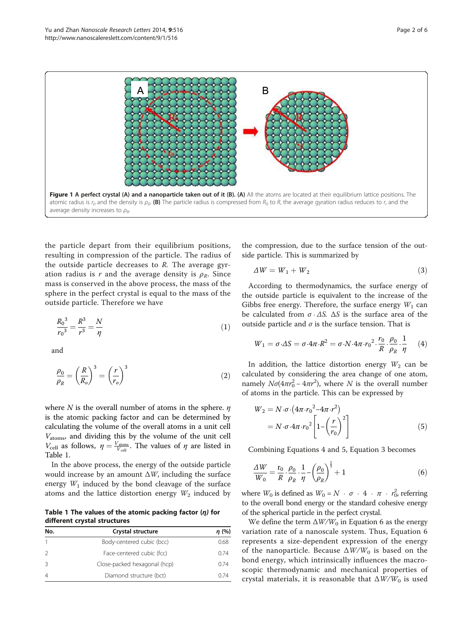<span id="page-1-0"></span>

the particle depart from their equilibrium positions, resulting in compression of the particle. The radius of the outside particle decreases to  $R$ . The average gyration radius is r and the average density is  $\rho_R$ . Since mass is conserved in the above process, the mass of the sphere in the perfect crystal is equal to the mass of the outside particle. Therefore we have

$$
\frac{R_0^3}{r_0^3} = \frac{R^3}{r^3} = \frac{N}{\eta}
$$
\n(1)

and

$$
\frac{\rho_0}{\rho_R} = \left(\frac{R}{R_o}\right)^3 = \left(\frac{r}{r_o}\right)^3\tag{2}
$$

where N is the overall number of atoms in the sphere.  $\eta$ is the atomic packing factor and can be determined by calculating the volume of the overall atoms in a unit cell  $V_{\text{atoms}}$ , and dividing this by the volume of the unit cell  $V_{\text{cell}}$  as follows,  $\eta = \frac{V_{\text{atoms}}}{V_{\text{cell}}}$ . The values of  $\eta$  are listed in Table 1.

In the above process, the energy of the outside particle would increase by an amount  $\Delta W$ , including the surface energy  $W_1$  induced by the bond cleavage of the surface atoms and the lattice distortion energy  $W_2$  induced by

Table 1 The values of the atomic packing factor  $(n)$  for different crystal structures

| No. | Crystal structure            | $\eta$ (%) |
|-----|------------------------------|------------|
|     | Body-centered cubic (bcc)    | 0.68       |
|     | Face-centered cubic (fcc)    | 0.74       |
| 3   | Close-packed hexagonal (hcp) | O 74       |
|     | Diamond structure (bct)      | በ 74       |

the compression, due to the surface tension of the outside particle. This is summarized by

$$
\Delta W = W_1 + W_2 \tag{3}
$$

According to thermodynamics, the surface energy of the outside particle is equivalent to the increase of the Gibbs free energy. Therefore, the surface energy  $W_1$  can be calculated from  $\sigma \cdot \Delta S$ .  $\Delta S$  is the surface area of the outside particle and  $\sigma$  is the surface tension. That is

$$
W_1 = \sigma \cdot \Delta S = \sigma \cdot 4\pi \cdot R^2 = \sigma \cdot N \cdot 4\pi \cdot r_0^2 \cdot \frac{r_0}{R} \cdot \frac{\rho_0}{\rho_R} \cdot \frac{1}{\eta} \tag{4}
$$

In addition, the lattice distortion energy  $W_2$  can be calculated by considering the area change of one atom, namely  $N\sigma(4\pi r_0^2 - 4\pi r^2)$ , where N is the overall number of atoms in the particle. This can be expressed by

$$
W_2 = N \cdot \sigma \cdot (4\pi \cdot r_0^2 - 4\pi \cdot r^2)
$$
  
=  $N \cdot \sigma \cdot 4\pi \cdot r_0^2 \left[1 - \left(\frac{r}{r_0}\right)^2\right]$  (5)

Combining Equations 4 and 5, Equation 3 becomes

$$
\frac{\Delta W}{W_0} = \frac{\mathbf{r}_0}{R} \cdot \frac{\rho_0}{\rho_R} \cdot \frac{1}{\eta} - \left(\frac{\rho_0}{\rho_R}\right)^{\frac{2}{3}} + 1\tag{6}
$$

where  $W_0$  is defined as  $W_0 = N + \sigma + 4 + \pi + r_0^2$ , referring to the overall bond energy or the standard cohesive energy of the spherical particle in the perfect crystal.

We define the term  $\Delta W/W_0$  in Equation 6 as the energy variation rate of a nanoscale system. Thus, Equation 6 represents a size-dependent expression of the energy of the nanoparticle. Because  $\Delta W/W_0$  is based on the bond energy, which intrinsically influences the macroscopic thermodynamic and mechanical properties of crystal materials, it is reasonable that  $\Delta W/W_0$  is used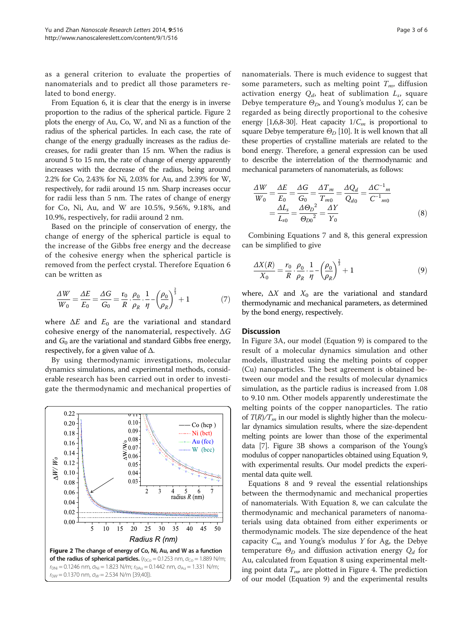<span id="page-2-0"></span>as a general criterion to evaluate the properties of nanomaterials and to predict all those parameters related to bond energy.

From Equation [6,](#page-1-0) it is clear that the energy is in inverse proportion to the radius of the spherical particle. Figure 2 plots the energy of Au, Co, W, and Ni as a function of the radius of the spherical particles. In each case, the rate of change of the energy gradually increases as the radius decreases, for radii greater than 15 nm. When the radius is around 5 to 15 nm, the rate of change of energy apparently increases with the decrease of the radius, being around 2.2% for Co, 2.43% for Ni, 2.03% for Au, and 2.39% for W, respectively, for radii around 15 nm. Sharp increases occur for radii less than 5 nm. The rates of change of energy for Co, Ni, Au, and W are 10.5%, 9.56%, 9.18%, and 10.9%, respectively, for radii around 2 nm.

Based on the principle of conservation of energy, the change of energy of the spherical particle is equal to the increase of the Gibbs free energy and the decrease of the cohesive energy when the spherical particle is removed from the perfect crystal. Therefore Equation [6](#page-1-0) can be written as

$$
\frac{\Delta W}{W_0} = \frac{\Delta E}{E_0} = \frac{\Delta G}{G_0} = \frac{\mathbf{r}_0}{R} \cdot \frac{\rho_0}{\rho_R} \cdot \frac{1}{\eta} - \left(\frac{\rho_0}{\rho_R}\right)^{\frac{2}{3}} + 1\tag{7}
$$

where  $\Delta E$  and  $E_0$  are the variational and standard cohesive energy of the nanomaterial, respectively.  $\Delta G$ and  $G_0$  are the variational and standard Gibbs free energy, respectively, for a given value of  $\Delta$ .

By using thermodynamic investigations, molecular dynamics simulations, and experimental methods, considerable research has been carried out in order to investigate the thermodynamic and mechanical properties of



nanomaterials. There is much evidence to suggest that some parameters, such as melting point  $T_m$ , diffusion activation energy  $Q_d$ , heat of sublimation  $L_s$ , square Debye temperature  $\Theta_D$ , and Young's modulus Y, can be regarded as being directly proportional to the cohesive energy [[1,6,8-30\]](#page-4-0). Heat capacity  $1/C_m$  is proportional to square Debye temperature  $\Theta_D$  [\[10](#page-4-0)]. It is well known that all these properties of crystalline materials are related to the bond energy. Therefore, a general expression can be used to describe the interrelation of the thermodynamic and mechanical parameters of nanomaterials, as follows:

$$
\frac{\Delta W}{W_0} = \frac{\Delta E}{E_0} = \frac{\Delta G}{G_0} = \frac{\Delta T_m}{T_{m0}} = \frac{\Delta Q_d}{Q_{d0}} = \frac{\Delta C^{-1}{}_{m}}{C^{-1}{}_{m0}}
$$

$$
= \frac{\Delta L_s}{L_{s0}} = \frac{\Delta \Theta_D^2}{\Theta_{D0}^2} = \frac{\Delta Y}{Y_0}
$$
(8)

Combining Equations 7 and 8, this general expression can be simplified to give

$$
\frac{\Delta X(R)}{X_0} = \frac{r_0}{R} \cdot \frac{\rho_0}{\rho_R} \cdot \frac{1}{\eta} - \left(\frac{\rho_0}{\rho_R}\right)^{\frac{2}{3}} + 1\tag{9}
$$

where,  $\Delta X$  and  $X_0$  are the variational and standard thermodynamic and mechanical parameters, as determined by the bond energy, respectively.

## **Discussion**

In Figure [3A](#page-3-0), our model (Equation 9) is compared to the result of a molecular dynamics simulation and other models, illustrated using the melting points of copper (Cu) nanoparticles. The best agreement is obtained between our model and the results of molecular dynamics simulation, as the particle radius is increased from 1.08 to 9.10 nm. Other models apparently underestimate the melting points of the copper nanoparticles. The ratio of  $T(R)/T_m$  in our model is slightly higher than the molecular dynamics simulation results, where the size-dependent melting points are lower than those of the experimental data [\[7\]](#page-4-0). Figure [3](#page-3-0)B shows a comparison of the Young's modulus of copper nanoparticles obtained using Equation 9, with experimental results. Our model predicts the experimental data quite well.

Equations 8 and 9 reveal the essential relationships between the thermodynamic and mechanical properties of nanomaterials. With Equation 8, we can calculate the thermodynamic and mechanical parameters of nanomaterials using data obtained from either experiments or thermodynamic models. The size dependence of the heat capacity  $C_m$  and Young's modulus Y for Ag, the Debye temperature  $\Theta_D$  and diffusion activation energy  $Q_d$  for Au, calculated from Equation 8 using experimental melting point data  $T_{\text{np}}$  are plotted in Figure [4.](#page-3-0) The prediction of our model (Equation 9) and the experimental results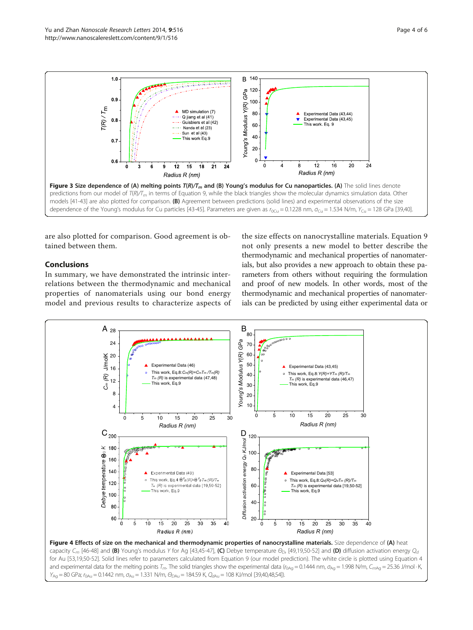<span id="page-3-0"></span>

are also plotted for comparison. Good agreement is obtained between them.

## Conclusions

In summary, we have demonstrated the intrinsic interrelations between the thermodynamic and mechanical properties of nanomaterials using our bond energy model and previous results to characterize aspects of

the size effects on nanocrystalline materials. Equation [9](#page-2-0) not only presents a new model to better describe the thermodynamic and mechanical properties of nanomaterials, but also provides a new approach to obtain these parameters from others without requiring the formulation and proof of new models. In other words, most of the thermodynamic and mechanical properties of nanomaterials can be predicted by using either experimental data or

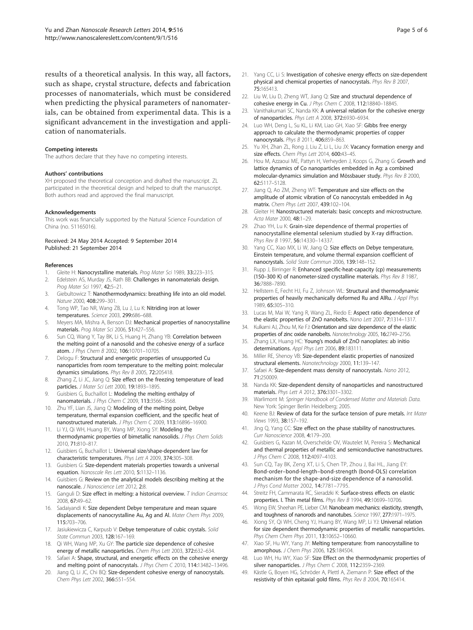<span id="page-4-0"></span>results of a theoretical analysis. In this way, all factors, such as shape, crystal structure, defects and fabrication processes of nanomaterials, which must be considered when predicting the physical parameters of nanomaterials, can be obtained from experimental data. This is a significant advancement in the investigation and application of nanomaterials.

#### Competing interests

The authors declare that they have no competing interests.

#### Authors' contributions

XH proposed the theoretical conception and drafted the manuscript. ZL participated in the theoretical design and helped to draft the manuscript. Both authors read and approved the final manuscript.

#### Acknowledgements

This work was financially supported by the Natural Science Foundation of China (no. 51165016).

### Received: 24 May 2014 Accepted: 9 September 2014 Published: 21 September 2014

#### References

- Gleite H: Nanocrystalline materials. Prog Mater Sci 1989, 33:223-315.
- 2. Edelstein AS, Murday JS, Rath BB: Challenges in nanomaterials design. Prog Mater Sci 1997, 42:5–21.
- Giebultowicz T: Nanothermodynamics: breathing life into an old model. Nature 2000, 408:299–301.
- 4. Tong WP, Tao NR, Wang ZB, Lu J, Lu K: Nitriding iron at lower temperatures. Science 2003, 299:686–688.
- 5. Meyers MA, Mishra A, Benson DJ: Mechanical properties of nanocrystalline materials. Prog Mater Sci 2006, 51:427–556.
- 6. Sun CQ, Wang Y, Tay BK, Li S, Huang H, Zhang YB: Correlation between the melting point of a nanosolid and the cohesive energy of a surface atom. J Phys Chem B 2002, 106:10701–10705.
- 7. Delogu F: Structural and energetic properties of unsupported Cu nanoparticles from room temperature to the melting point: molecular dynamics simulations. Phys Rev B 2005, 72:205418.
- 8. Zhang Z, Li JC, Jiang Q: Size effect on the freezing temperature of lead particles. J Mater Sci Lett 2000, 19:1893–1895.
- 9. Guisbiers G, Buchaillot L: Modeling the melting enthalpy of nanomaterials. J Phys Chem C 2009, 113:3566–3568.
- 10. Zhu YF, Lian JS, Jiang Q: Modeling of the melting point, Debye temperature, thermal expansion coefficient, and the specific heat of nanostructured materials. J Phys Chem C 2009, 113:16896–16900.
- 11. Li YJ, Qi WH, Huang BY, Wang MP, Xiong SY: Modeling the thermodynamic properties of bimetallic nanosolids. J Phys Chem Solids 2010, 71:810–817.
- 12. Guisbiers G, Buchaillot L: Universal size/shape-dependent law for characteristic temperatures. Phys Lett A 2009, 374:305–308.
- 13. Guisbiers G: Size-dependent materials properties towards a universal equation. Nanoscale Res Lett 2010, 5:1132–1136.
- 14. Guisbiers G: Review on the analytical models describing melting at the nanoscale. J Nanoscience Lett 2012, 2:8.
- 15. Ganguli D: Size effect in melting: a historical overview. T Indian Ceramsoc 2008, 67:49–62.
- 16. Sadaiyandi K: Size dependent Debye temperature and mean square displacements of nanocrystalline Au, Ag and Al. Mater Chem Phys 2009, 115:703–706.
- 17. Jasiukiewicza C, Karpusb V: Debye temperature of cubic crystals. Solid State Commun 2003, 128:167–169.
- 18. Qi WH, Wang MP, Xu GY: The particle size dependence of cohesive energy of metallic nanoparticles. Chem Phys Lett 2003, 372:632–634.
- Safaei A: Shape, structural, and energetic effects on the cohesive energy and melting point of nanocrystals. J Phys Chem C 2010, 114:13482-13496.
- 20. Jiang Q, Li JC, Chi BQ: Size-dependent cohesive energy of nanocrystals. Chem Phys Lett 2002, 366:551–554.
- 21. Yang CC, Li S: Investigation of cohesive energy effects on size-dependent physical and chemical properties of nanocrystals. Phys Rev B 2007, 75:165413.
- 22. Liu W, Liu D, Zheng WT, Jiang Q: Size and structural dependence of cohesive energy in Cu. J Phys Chem C 2008, 112:18840–18845.
- 23. Vanithakumari SC, Nanda KK: A universal relation for the cohesive energy of nanoparticles. Phys Lett A 2008, 372:6930–6934.
- 24. Luo WH, Deng L, Su KL, Li KM, Liao GH, Xiao SF: Gibbs free energy approach to calculate the thermodynamic properties of copper nanocrystals. Phys B 2011, 406:859–863.
- 25. Yu XH, Zhan ZL, Rong J, Liu Z, Li L, Liu JX: Vacancy formation energy and size effects. Chem Phys Lett 2014, 600:43-45.
- 26. Hou M, Azzaoui ME, Pattyn H, Verheyden J, Koops G, Zhang G: Growth and lattice dynamics of Co nanoparticles embedded in Ag: a combined molecular-dynamics simulation and Mössbauer study. Phys Rev B 2000, 62:5117–5128.
- 27. Jiang Q, Ao ZM, Zheng WT: Temperature and size effects on the amplitude of atomic vibration of Co nanocrystals embedded in Ag matrix. Chem Phys Lett 2007, 439:102-104.
- 28. Gleiter H: Nanostructured materials: basic concepts and microstructure. Acta Mater 2000, 48:1–29.
- 29. Zhao YH, Lu K: Grain-size dependence of thermal properties of nanocrystalline elemental selenium studied by X-ray diffraction. Phys Rev B 1997, 56:14330-14337.
- 30. Yang CC, Xiao MX, Li W, Jiang Q: Size effects on Debye temperature, Einstein temperature, and volume thermal expansion coefficient of nanocrystals. Solid State Commun 2006, 139:148–152.
- 31. Rupp J, Birringer R: Enhanced specific-heat-capacity (cp) measurements (150–300 K) of nanometer-sized crystalline materials. Phys Rev B 1987, 36:7888–7890.
- 32. Hellstern E, Fecht HJ, Fu Z, Johnson WL: Structural and thermodynamic properties of heavily mechanically deformed Ru and AlRu. J Appl Phys 1989, 65:305–310.
- 33. Lucas M, Mai W, Yang R, Wang ZL, Riedo E: Aspect ratio dependence of the elastic properties of ZnO nanobelts. Nano Lett 2007, 7:1314–1317.
- 34. Kulkarni AJ, Zhou M, Ke FJ: Orientation and size dependence of the elastic properties of zinc oxide nanobelts. Nanotechnology 2005, 16:2749–2756.
- 35. Zhang LX, Huang HC: Young's moduli of ZnO nanoplates: ab initio determinations. Appl Phys Lett 2006, 89:183111.
- 36. Miller RE, Shenoy VB: Size-dependent elastic properties of nanosized structural elements. Nanotechnology 2000, 11:139–147.
- 37. Safaei A: Size-dependent mass density of nanocrystals. Nano 2012, 71:250009.
- 38. Nanda KK: Size-dependent density of nanoparticles and nanostructured materials. Phys Lett A 2012, 376:3301–3302.
- 39. Warlimont M: Springer Handbook of Condensed Matter and Materials Data. New York: Spinger Berlin Heidelberg; 2005.
- 40. Keene BJ: Review of data for the surface tension of pure metals. Int Mater Views 1993, 38:157–192.
- 41. Jing Q, Yang CC: Size effect on the phase stability of nanostructures. Curr Nanoscience 2008, 4:179–200.
- 42. Guisbiers G, Kazan M, Overschelde OV, Wautelet M, Pereira S: Mechanical and thermal properties of metallic and semiconductive nanostructures. J Phys Chem C 2008, 112:4097-4103.
- 43. Sun CQ, Tay BK, Zeng XT, Li S, Chen TP, Zhou J, Bai HL, Jiang EY: Bond-order–bond-length–bond-strength (bond-OLS) correlation mechanism for the shape-and-size dependence of a nanosolid. J Phys Cond Matter 2002, 14:7781–7795.
- 44. Streitz FH, Cammarata RC, Sieradzki K: Surface-stress effects on elastic properties. I. Thin metal films. Phys Rev B 1994, 49:10699–10706.
- 45. Wong EW, Sheehan PE, Lieber CM: Nanobeam mechanics: elasticity, strength, and toughness of nanorods and nanotubes. Science 1997, 277:1971-1975.
- 46. Xiong SY, Qi WH, Cheng YJ, Huang BY, Wang MP, Li YJ: Universal relation for size dependent thermodynamic properties of metallic nanoparticles. Phys Chem Chem Phys 2011, 13:10652–10660.
- 47. Xiao SF, Hu WY, Yang JY: Melting temperature: from nanocrystalline to amorphous. J Chem Phys 2006, 125:184504.
- 48. Luo WH, Hu WY, Xiao SF: Size Effect on the thermodynamic properties of silver nanoparticles. J Phys Chem C 2008, 112:2359-2369.
- 49. Kästle G, Boyen HG, Schröder A, Plettl A, Ziemann P: Size effect of the resistivity of thin epitaxial gold films. Phys Rev B 2004, 70:165414.